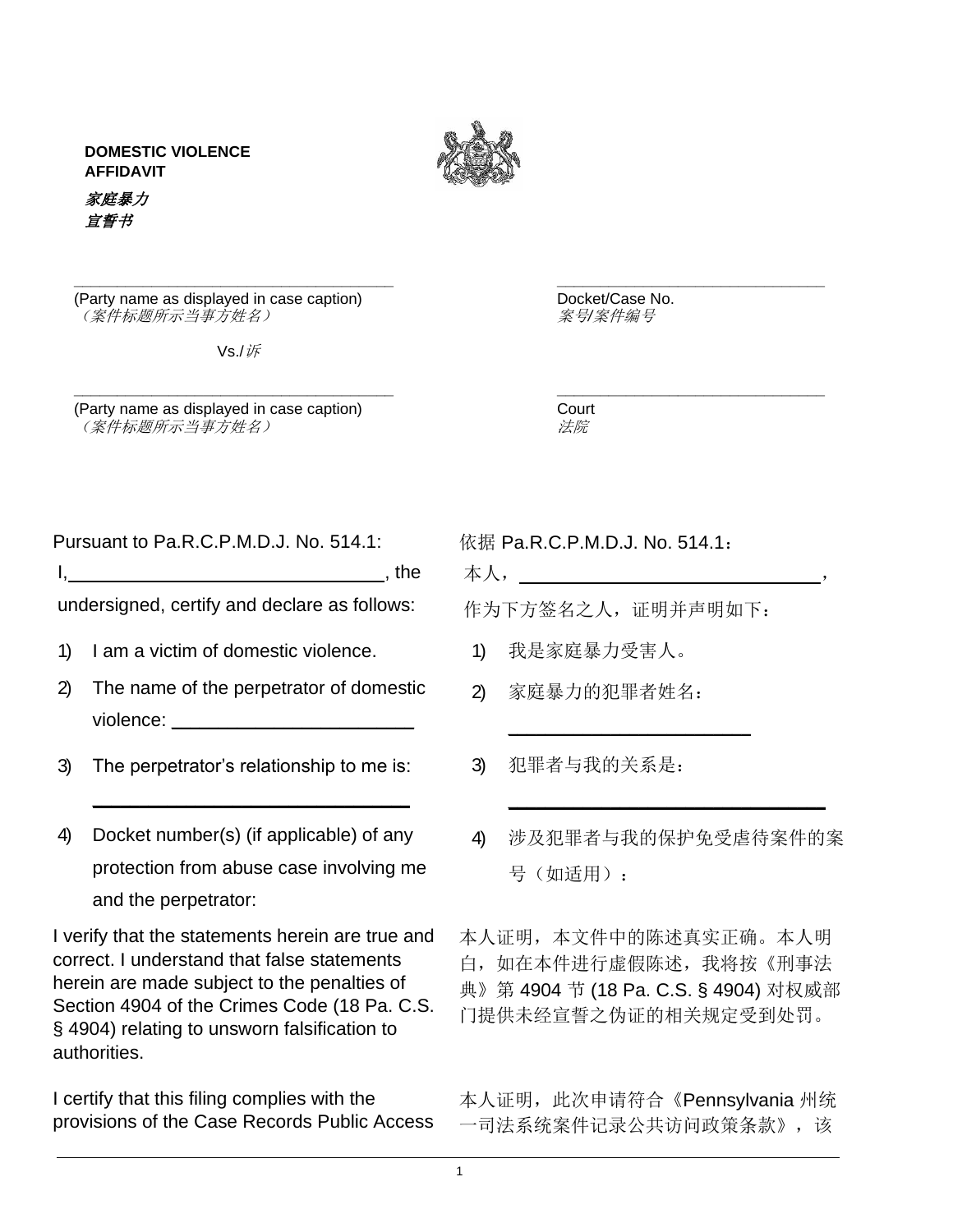**DOMESTIC VIOLENCE AFFIDAVIT**





**\_\_\_\_\_\_\_\_\_\_\_\_\_\_\_\_\_\_\_\_\_\_\_\_\_\_\_\_\_\_\_\_\_\_\_\_\_ \_\_\_\_\_\_\_\_\_\_\_\_\_\_\_\_\_\_\_\_\_\_\_\_\_\_\_\_\_\_\_**

(Party name as displayed in case caption)  $($  Sepannic Docket/Case No.<br>(案件标题所示当事方姓名) 88 (案件标题所示当事方姓名)

Vs./诉

(Party name as displayed in case caption) Court  $\mathscr{L}(\hat{\mathcal{K}})$  (案件标题所示当事方姓名) The contract of the contract of the contract of the contract of the contract of the contract of the contract of the contract of the contract of the contract of the contract of the contract

**\_\_\_\_\_\_\_\_\_\_\_\_\_\_\_\_\_\_\_\_\_\_\_\_\_\_\_\_\_\_\_\_\_\_\_\_\_ \_\_\_\_\_\_\_\_\_\_\_\_\_\_\_\_\_\_\_\_\_\_\_\_\_\_\_\_\_\_\_**

Pursuant to Pa.R.C.P.M.D.J. No. 514.1: 依据 Pa.R.C.P.M.D.J. No. 514.1:

I, \_\_\_\_\_\_\_\_\_\_\_\_\_\_\_\_\_\_\_\_\_\_\_\_\_\_\_\_\_\_, the

undersigned, certify and declare as follows:

- 1) I am a victim of domestic violence.
- 2) The name of the perpetrator of domestic violence:  $\blacksquare$
- 3) The perpetrator's relationship to me is:
- 4) Docket number(s) (if applicable) of any protection from abuse case involving me and the perpetrator:

\_\_\_\_\_\_\_\_\_\_\_\_\_\_\_\_\_\_\_\_\_\_\_\_\_\_\_\_\_\_\_\_\_\_

I verify that the statements herein are true and correct. I understand that false statements herein are made subject to the penalties of Section 4904 of the Crimes Code (18 Pa. C.S. § 4904) relating to unsworn falsification to authorities.

I certify that this filing complies with the provisions of the Case Records Public Access 本人,\_\_\_\_\_\_\_\_\_\_\_\_\_\_\_\_\_\_\_\_\_\_\_\_\_\_\_\_\_,

\_\_\_\_\_\_\_\_\_\_\_\_\_\_\_\_\_\_\_\_\_\_\_\_\_\_

作为下方签名之人,证明并声明如下:

- 1) 我是家庭暴力受害人。
- 2) 家庭暴力的犯罪者姓名:
- 3) 犯罪者与我的关系是:
- 4) 涉及犯罪者与我的保护免受虐待案件的案 号(如适用):

\_\_\_\_\_\_\_\_\_\_\_\_\_\_\_\_\_\_\_\_\_\_\_\_\_\_\_\_\_\_\_\_\_\_

本人证明,本文件中的陈述真实正确。本人明 白,如在本件进行虚假陈述,我将按《刑事法 典》第 4904 节 (18 Pa. C.S. § 4904) 对权威部 门提供未经宣誓之伪证的相关规定受到处罚。

本人证明, 此次申请符合《Pennsylvania 州统 一司法系统案件记录公共访问政策条款》,该